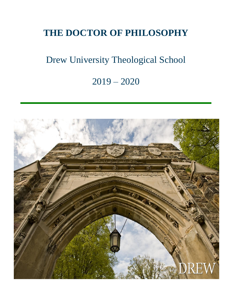## **THE DOCTOR OF PHILOSOPHY**

## Drew University Theological School

### 2019 – 2020

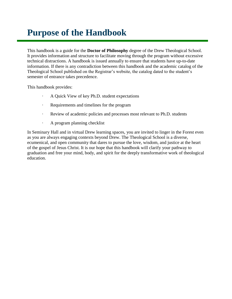### **Purpose of the Handbook**

This handbook is a guide for the **Doctor of Philosophy** degree of the Drew Theological School. It provides information and structure to facilitate moving through the program without excessive technical distractions. A handbook is issued annually to ensure that students have up-to-date information. If there is any contradiction between this handbook and the academic catalog of the Theological School published on the Registrar's website, the catalog dated to the student's semester of entrance takes precedence.

This handbook provides:

- · A Quick View of key Ph.D. student expectations
- Requirements and timelines for the program
- · Review of academic policies and processes most relevant to Ph.D. students
- · A program planning checklist

In Seminary Hall and in virtual Drew learning spaces, you are invited to linger in the Forest even as you are always engaging contexts beyond Drew. The Theological School is a diverse, ecumenical, and open community that dares to pursue the love, wisdom, and justice at the heart of the gospel of Jesus Christ. It is our hope that this handbook will clarify your pathway to graduation and free your mind, body, and spirit for the deeply transformative work of theological education.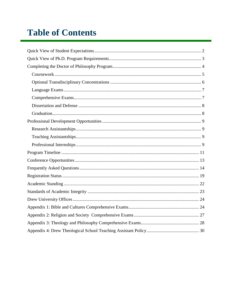## **Table of Contents**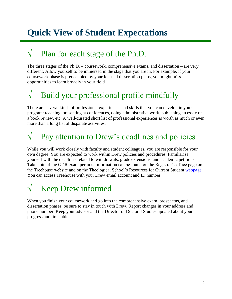## **Quick View of Student Expectations**

### $\sqrt{\phantom{a}}$  Plan for each stage of the Ph.D.

The three stages of the Ph.D. – coursework, comprehensive exams, and dissertation – are very different. Allow yourself to be immersed in the stage that you are in. For example, if your coursework phase is preoccupied by your focused dissertation plans, you might miss opportunities to learn broadly in your field.

## $\sqrt{\phantom{a}}$  Build your professional profile mindfully

There are several kinds of professional experiences and skills that you can develop in your program: teaching, presenting at conferences, doing administrative work, publishing an essay or a book review, etc. A well-curated short list of professional experiences is worth as much or even more than a long list of disparate activities.

# $\sqrt{ }$  Pay attention to Drew's deadlines and policies

While you will work closely with faculty and student colleagues, you are responsible for your own degree. You are expected to work within Drew policies and procedures. Familiarize yourself with the deadlines related to withdrawals, grade extensions, and academic petitions. Take note of the GDR exam periods. Information can be found on the Registrar's office page on the Treehouse website and on the Theological School's Resources for Current Student [webpage.](http://www.drew.edu/theological-school/resources/) You can access Treehouse with your Drew email account and ID number.

## $\sqrt{\phantom{a}}$  Keep Drew informed

When you finish your coursework and go into the comprehensive exam, prospectus, and dissertation phases, be sure to stay in touch with Drew. Report changes in your address and phone number. Keep your advisor and the Director of Doctoral Studies updated about your progress and timetable.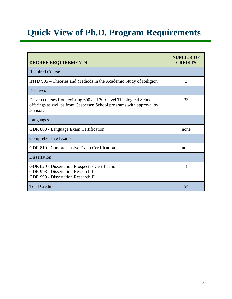## **Quick View of Ph.D. Program Requirements**

| <b>DEGREE REQUIREMENTS</b>                                                                                                                            | <b>NUMBER OF</b><br><b>CREDITS</b> |
|-------------------------------------------------------------------------------------------------------------------------------------------------------|------------------------------------|
| <b>Required Course</b>                                                                                                                                |                                    |
| INTD 905 – Theories and Methods in the Academic Study of Religion                                                                                     | 3                                  |
| Electives                                                                                                                                             |                                    |
| Eleven courses from existing 600 and 700-level Theological School<br>offerings as well as from Caspersen School programs with approval by<br>advisor. | 33                                 |
| Languages                                                                                                                                             |                                    |
| GDR 800 - Language Exam Certification                                                                                                                 | none                               |
| Comprehensive Exams                                                                                                                                   |                                    |
| GDR 810 - Comprehensive Exam Certification                                                                                                            | none                               |
| <b>Dissertation</b>                                                                                                                                   |                                    |
| GDR 820 - Dissertation Prospectus Certification<br>GDR 998 - Dissertation Research I<br><b>GDR 999 - Dissertation Research II</b>                     | 18                                 |
| <b>Total Credits</b>                                                                                                                                  | 54                                 |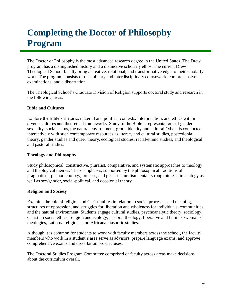## **Completing the Doctor of Philosophy Program**

The Doctor of Philosophy is the most advanced research degree in the United States. The Drew program has a distinguished history and a distinctive scholarly ethos. The current Drew Theological School faculty bring a creative, relational, and transformative edge to their scholarly work. The program consists of disciplinary and interdisciplinary coursework, comprehensive examinations, and a dissertation.

The Theological School's Graduate Division of Religion supports doctoral study and research in the following areas:

#### **Bible and Cultures**

Explore the Bible's rhetoric, material and political contexts, interpretation, and ethics within diverse cultures and theoretical frameworks. Study of the Bible's representations of gender, sexuality, social status, the natural environment, group identity and cultural Others is conducted interactively with such contemporary resources as literary and cultural studies, postcolonial theory, gender studies and queer theory, ecological studies, racial/ethnic studies, and theological and pastoral studies.

#### **Theology and Philosophy**

Study philosophical, constructive, pluralist, comparative, and systematic approaches to theology and theological themes. These emphases, supported by the philosophical traditions of pragmatism, phenomenology, process, and poststructuralism, entail strong interests in ecology as well as sex/gender, social-political, and decolonial theory.

#### **Religion and Society**

Examine the role of religion and Christianities in relation to social processes and meaning, structures of oppression, and struggles for liberation and wholeness for individuals, communities, and the natural environment. Students engage cultural studies, psychoanalytic theory, sociology, Christian social ethics, religion and ecology, pastoral theology, liberative and feminist/womanist theologies, Latino/a religions, and Africana diasporic studies.

Although it is common for students to work with faculty members across the school, the faculty members who work in a student's area serve as advisors, prepare language exams, and approve comprehensive exams and dissertation prospectuses.

The Doctoral Studies Program Committee comprised of faculty across areas make decisions about the curriculum overall.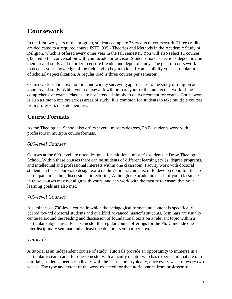### **Coursework**

In the first two years of the program, students complete 36 credits of coursework. Three credits are dedicated to a required course INTD 905 - Theories and Methods in the Academic Study of Religion, which is offered every other year in the fall semester. You will also select 11 courses (33 credits) in conversation with your academic advisor. Students make selections depending on their area of study and in order to ensure breadth and depth of study. The goal of coursework is to deepen your knowledge of the field and to begin to identify and solidify your particular areas of scholarly specialization. A regular load is three courses per semester.

Coursework is about exploration and widely surveying approaches to the study of religion and your area of study. While your coursework will prepare you for the intellectual work of the comprehensive exams, classes are not intended simply to deliver content for exams. Coursework is also a time to explore across areas of study. It is common for students to take multiple courses from professors outside their area.

### **Course Formats**

As the Theological School also offers several masters degrees, Ph.D. students work with professors in multiple course formats.

#### *600-level Courses*

Courses at the 600-level are often designed for mid-level master's students at Drew Theological School. Within these courses there can be students of different learning styles, degree programs, and intellectual and professional interests within one classroom. Faculty work with doctoral students in these courses to design extra readings or assignments, or to develop opportunities to participate in leading discussions or lecturing. Although the academic needs of your classmates in these courses may not align with yours, and can work with the faculty to ensure that your learning goals are also met.

### *700-level Courses*

A seminar is a 700-level course in which the pedagogical format and content is specifically geared toward doctoral students and qualified advanced master's students. Seminars are usually centered around the reading and discussion of foundational texts on a relevant topic within a particular subject area. Each semester the regular course offerings for the Ph.D. include one interdisciplinary seminar and at least one doctoral seminar per area.

#### *Tutorials*

A tutorial is an independent course of study. Tutorials provide an opportunity to immerse in a particular research area for one semester with a faculty mentor who has expertise in that area. In tutorials, students meet periodically with the instructor—typically, once every week or every two weeks. The type and extent of the work expected for the tutorial varies from professor to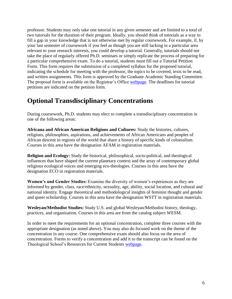professor. Students may only take one tutorial in any given semester and are limited to a total of two tutorials for the duration of their program. Ideally, you should think of tutorials as a way to fill a gap in your knowledge that is not otherwise met by regular coursework. For example, if, by your last semester of coursework if you feel as though you are still lacking in a particular area relevant to your research interests, you could develop a tutorial. Generally, tutorials should not take the place of regularly offered Ph.D. seminars or simply replicate the process of preparing for a particular comprehensive exam. To do a tutorial, students must fill out a Tutorial Petition Form. This form requires the submission of a completed syllabus for the proposed tutorial, indicating the schedule for meeting with the professor, the topics to be covered, texts to be read, and written assignments. This form is approved by the Graduate Academic Standing Committee. The proposal form is available on the Registrar's Office [webpage.](http://www.drew.edu/registrars-office/) The deadlines for tutorial petitions are indicated on the petition form.

### **Optional Transdisciplinary Concentrations**

During coursework, Ph.D. students may elect to complete a transdisciplinary concentration in one of the following areas:

**Africana and African American Religions and Cultures:** Study the histories, cultures, religions, philosophies, aspirations, and achievements of African Americans and peoples of African descent in regions of the world that share a history of specific kinds of colonialism. Courses in this area have the designation AFAM in registration materials.

**Religion and Ecology:** Study the historical, philosophical, socio-political, and theological influences that have shaped the current planetary context and the array of contemporary global religious ecological voices and emerging eco-theologies. Courses in this area have the designation ECO in registration materials.

**Women's and Gender Studies:** Examine the diversity of women's experiences as they are informed by gender, class, race/ethnicity, sexuality, age, ability, social location, and cultural and national identity. Engage theoretical and methodological insights of feminist thought and gender and queer scholarship. Courses in this area have the designation WSTT in registration materials.

**Wesleyan/Methodist Studies:** Study U.S. and global Wesleyan/Methodist history, theology, practices, and organization. Courses in this area are from the catalog subject WESM.

In order to meet the requirements for an optional concentration, complete three courses with the appropriate designation (as noted above). You may also do focused work on the theme of the concentration in any course. One comprehensive exam should also focus on the area of concentration. Forms to verify a concentration and add it to the transcript can be found on the Theological School's Resources for Current Students [webpage.](http://www.drew.edu/theological-school/resources/)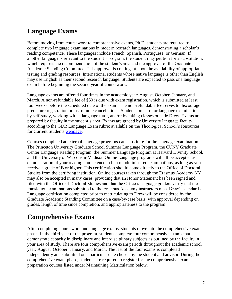### **Language Exams**

Before moving from coursework to comprehensive exams, Ph.D. students are required to complete two language examinations in modern research languages, demonstrating a scholar's reading competence. These languages include French, Spanish, Portuguese, or German. If another language is relevant to the student's program, the student may petition for a substitution, which requires the recommendation of the student's area and the approval of the Graduate Academic Standing Committee. This approval is contingent upon the availability of appropriate testing and grading resources. International students whose native language is other than English may use English as their second research language. Students are expected to pass one language exam before beginning the second year of coursework.

Language exams are offered four times in the academic year: August, October, January, and March. A non-refundable fee of \$50 is due with exam registration. which is submitted at least four weeks before the scheduled date of the exam. The non-refundable fee serves to discourage premature registration or last minute cancellations. Students prepare for language examinations by self-study, working with a language tutor, and/or by taking classes outside Drew. Exams are prepared by faculty in the student's area. Exams are graded by University language faculty according to the GDR Language Exam rubric available on the Theological School's Resources for Current Students [webpage.](http://www.drew.edu/theological-school/resources/)

Courses completed at external language programs can substitute for the language examination. The Princeton University Graduate School Summer Language Program, the CUNY Graduate Center Language Reading Program, the Summer Language Program at Harvard Divinity School, and the University of Wisconsin-Madison Online Language programs will all be accepted as demonstration of your reading competence in lieu of administered examinations, as long as you receive a grade of B or higher. This certification should come directly to the Office of Doctoral Studies from the certifying institution. Online courses taken through the Erasmus Academy NY may also be accepted in many cases, providing that an Honor Statement has been signed and filed with the Office of Doctoral Studies and that the Office's language graders verify that the translation examinations submitted to the Erasmus Academy instructors meet Drew's standards. Language certification completed prior to matriculating to Drew will be considered by the Graduate Academic Standing Committee on a case-by-case basis, with approval depending on grades, length of time since completion, and appropriateness to the program.

### **Comprehensive Exams**

After completing coursework and language exams, students move into the comprehensive exam phase. In the third year of the program, students complete four comprehensive exams that demonstrate capacity in disciplinary and interdisciplinary subjects as outlined by the faculty in your area of study. There are four comprehensive exam periods throughout the academic school year: August, October, January, and March. The last of the four exams is completed independently and submitted on a particular date chosen by the student and advisor. During the comprehensive exam phase, students are required to register for the comprehensive exam preparation courses listed under Maintaining Matriculation below.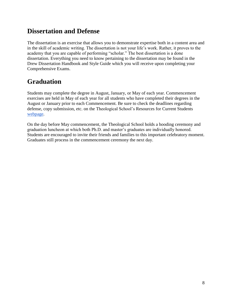### **Dissertation and Defense**

The dissertation is an exercise that allows you to demonstrate expertise both in a content area and in the skill of academic writing. The dissertation is not your life's work. Rather, it proves to the academy that you are capable of performing "scholar." The best dissertation is a done dissertation. Everything you need to know pertaining to the dissertation may be found in the Drew Dissertation Handbook and Style Guide which you will receive upon completing your Comprehensive Exams.

### **Graduation**

Students may complete the degree in August, January, or May of each year. Commencement exercises are held in May of each year for all students who have completed their degrees in the August or January prior to each Commencement. Be sure to check the deadlines regarding defense, copy submission, etc. on the Theological School's Resources for Current Students [webpage.](http://www.drew.edu/theological-school/resources/)

On the day before May commencement, the Theological School holds a hooding ceremony and graduation luncheon at which both Ph.D. and master's graduates are individually honored. Students are encouraged to invite their friends and families to this important celebratory moment. Graduates still process in the commencement ceremony the next day.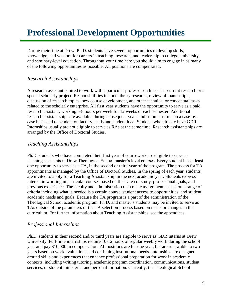## **Professional Development Opportunities**

During their time at Drew, Ph.D. students have several opportunities to develop skills, knowledge, and wisdom for careers in teaching, research, and leadership in college, university, and seminary-level education. Throughout your time here you should aim to engage in as many of the following opportunities as possible. All positions are compensated.

#### *Research Assistantships*

A research assistant is hired to work with a particular professor on his or her current research or a special scholarly project. Responsibilities include library research, review of manuscripts, discussion of research topics, new course development, and other technical or conceptual tasks related to the scholarly enterprise. All first year students have the opportunity to serve as a paid research assistant, working 5-8 hours per week for 12 weeks of each semester. Additional research assistantships are available during subsequent years and summer terms on a case-bycase basis and dependent on faculty needs and student load. Students who already have GDR Internships usually are not eligible to serve as RAs at the same time. Research assistantships are arranged by the Office of Doctoral Studies.

#### *Teaching Assistantships*

Ph.D. students who have completed their first year of coursework are eligible to serve as teaching assistants in Drew Theological School master's level courses. Every student has at least one opportunity to serve as a TA, in the second or third year of the program. The process for TA appointments is managed by the Office of Doctoral Studies. In the spring of each year, students are invited to apply for a Teaching Assistantship in the next academic year. Students express interest in working in particular courses based on their area of study, professional goals, and previous experience. The faculty and administration then make assignments based on a range of criteria including what is needed is a certain course, student access to opportunities, and student academic needs and goals. Because the TA program is a part of the administration of the Theological School academic program, Ph.D. and master's students may be invited to serve as TAs outside of the parameters of the TA selection process based on needs or changes in the curriculum. For further information about Teaching Assistantships, see the appendices.

#### *Professional Internships*

Ph.D. students in their second and/or third years are eligible to serve as GDR Interns at Drew University. Full-time internships require 10-12 hours of regular weekly work during the school year and pay \$10,000 in compensation. All positions are for one year, but are renewable to two years based on work evaluations and continuing institutional needs. Internships are designed around skills and experiences that enhance professional preparation for work in academic contexts, including writing tutoring, academic program coordination, communications, student services, or student ministerial and personal formation. Currently, the Theological School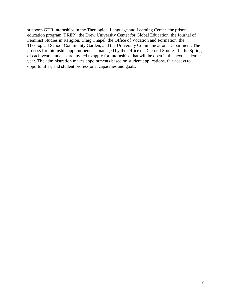supports GDR internships in the Theological Language and Learning Center, the prison education program (PREP), the Drew University Center for Global Education, the Journal of Feminist Studies in Religion, Craig Chapel, the Office of Vocation and Formation, the Theological School Community Garden, and the University Communications Department. The process for internship appointments is managed by the Office of Doctoral Studies. In the Spring of each year, students are invited to apply for internships that will be open in the next academic year. The administration makes appointments based on student applications, fair access to opportunities, and student professional capacities and goals.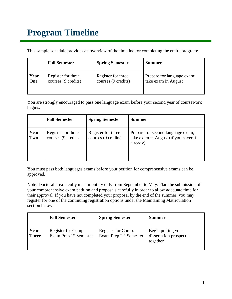## **Program Timeline**

This sample schedule provides an overview of the timeline for completing the entire program:

|      | <b>Fall Semester</b> | <b>Spring Semester</b> | <b>Summer</b>              |
|------|----------------------|------------------------|----------------------------|
| Year | Register for three   | Register for three     | Prepare for language exam; |
| One  | courses (9 credits)  | courses (9 credits)    | take exam in August        |

You are strongly encouraged to pass one language exam before your second year of coursework begins.

|             | <b>Fall Semester</b>                     | <b>Spring Semester</b>                    | <b>Summer</b>                                                                        |
|-------------|------------------------------------------|-------------------------------------------|--------------------------------------------------------------------------------------|
| Year<br>Two | Register for three<br>courses (9 credits | Register for three<br>courses (9 credits) | Prepare for second language exam;<br>take exam in August (if you haven't<br>already) |

You must pass both languages exams before your petition for comprehensive exams can be approved.

Note: Doctoral area faculty meet monthly only from September to May. Plan the submission of your comprehensive exam petition and proposals carefully in order to allow adequate time for their approval. If you have not completed your proposal by the end of the summer, you may register for one of the continuing registration options under the Maintaining Matriculation section below.

|                      | <b>Fall Semester</b>                                     | <b>Spring Semester</b>                                   | <b>Summer</b>                                             |
|----------------------|----------------------------------------------------------|----------------------------------------------------------|-----------------------------------------------------------|
| Year<br><b>Three</b> | Register for Comp.<br>Exam Prep 1 <sup>st</sup> Semester | Register for Comp.<br>Exam Prep 2 <sup>nd</sup> Semester | Begin putting your<br>dissertation prospectus<br>together |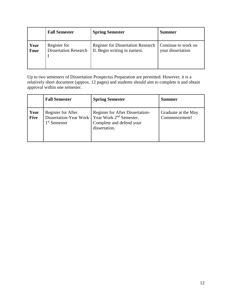|      | <b>Fall Semester</b>         | <b>Spring Semester</b>                    | <b>Summer</b>       |
|------|------------------------------|-------------------------------------------|---------------------|
| Year | Register for                 | <b>Register for Dissertation Research</b> | Continue to work on |
| Four | <b>Dissertation Research</b> | II. Begin writing in earnest.             | your dissertation   |

Up to two semesters of Dissertation Prospectus Preparation are permitted. However, it is a relatively short document (approx. 12 pages) and students should aim to complete it and obtain approval within one semester.

|                     | <b>Fall Semester</b>                                                     | <b>Spring Semester</b>                                                                                                      | <b>Summer</b>                        |
|---------------------|--------------------------------------------------------------------------|-----------------------------------------------------------------------------------------------------------------------------|--------------------------------------|
| Year<br><b>Five</b> | Register for After<br>Dissertation-Year Work<br>1 <sup>st</sup> Semester | <b>Register for After Dissertation-</b><br>Year Work 2 <sup>nd</sup> Semester.<br>Complete and defend your<br>dissertation. | Graduate at the May<br>Commencement! |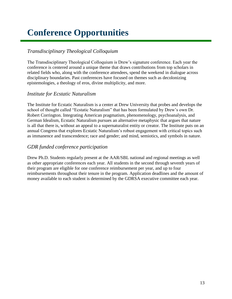## **Conference Opportunities**

#### *Transdisciplinary Theological Colloquium*

The Transdisciplinary Theological Colloquium is Drew's signature conference. Each year the conference is centered around a unique theme that draws contributions from top scholars in related fields who, along with the conference attendees, spend the weekend in dialogue across disciplinary boundaries. Past conferences have focused on themes such as decolonizing epistemologies, a theology of eros, divine multiplicity, and more.

#### *Institute for Ecstatic Naturalism*

The Institute for Ecstatic Naturalism is a center at Drew University that probes and develops the school of thought called "Ecstatic Naturalism" that has been formulated by Drew's own Dr. Robert Corrington. Integrating American pragmatism, phenomenology, psychoanalysis, and German Idealism, Ecstatic Naturalism pursues an alternative metaphysic that argues that nature is all that there is, without an appeal to a supernaturalist entity or creator. The Institute puts on an annual Congress that explores Ecstatic Naturalism's robust engagement with critical topics such as immanence and transcendence; race and gender; and mind, semiotics, and symbols in nature.

#### *GDR funded conference participation*

Drew Ph.D. Students regularly present at the AAR/SBL national and regional meetings as well as other appropriate conferences each year. All students in the second through seventh years of their program are eligible for one conference reimbursement per year, and up to four reimbursements throughout their tenure in the program. Application deadlines and the amount of money available to each student is determined by the GDRSA executive committee each year.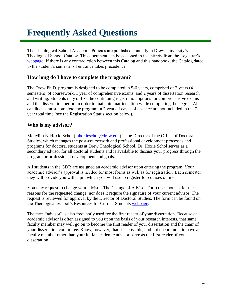## **Frequently Asked Questions**

The Theological School Academic Policies are published annually in Drew University's Theological School Catalog. This document can be accessed in its entirety from the Registrar's [webpage.](http://www.drew.edu/registrars-office/about-us/catalogs-course-lists-academic-calendars/) If there is any contradiction between this Catalog and this handbook, the Catalog dated to the student's semester of entrance takes precedence.

#### **How long do I have to complete the program?**

The Drew Ph.D. program is designed to be completed in 5-6 years, comprised of 2 years (4 semesters) of coursework, 1 year of comprehensive exams, and 2 years of dissertation research and writing. Students may utilize the continuing registration options for comprehensive exams and the dissertation period in order to maintain matriculation while completing the degree. All candidates must complete the program in 7 years. Leaves of absence are not included in the 7 year total time (see the Registration Status section below).

#### **Who is my advisor?**

Meredith E. Hoxie Schol [\(mhoxieschol@drew.edu\)](mailto:mhoxieschol@drew.edu) is the Director of the Office of Doctoral Studies, which manages the post-coursework and professional development processes and programs for doctoral students at Drew Theological School. Dr. Hoxie Schol serves as a secondary advisor for all doctoral students and is available to discuss your progress through the program or professional development and goals.

All students in the GDR are assigned an academic advisor upon entering the program. Your academic advisor's approval is needed for most forms as well as for registration. Each semester they will provide you with a pin which you will use to register for courses online.

You may request to change your advisor. The Change of Advisor Form does not ask for the reasons for the requested change, nor does it require the signature of your current advisor. The request is reviewed for approval by the Director of Doctoral Studies. The form can be found on the Theological School's Resources for Current Students [webpage.](http://www.drew.edu/theological-school/resources/)

The term "advisor" is also frequently used for the first reader of your dissertation. Because an academic advisor is often assigned to you upon the basis of your research interests, that same faculty member may well go on to become the first reader of your dissertation and the chair of your dissertation committee. Know, however, that it is possible, and not uncommon, to have a faculty member other than your initial academic advisor serve as the first reader of your dissertation.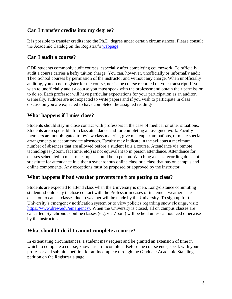#### **Can I transfer credits into my degree?**

It is possible to transfer credits into the Ph.D. degree under certain circumstances. Please consult the Academic Catalog on the Registrar's [webpage.](http://www.drew.edu/registrars-office/)

#### **Can I audit a course?**

GDR students commonly audit courses, especially after completing coursework. To officially audit a course carries a hefty tuition charge. You can, however, unofficially or informally audit Theo School courses by permission of the instructor and without any charge. When unofficially auditing, you do not register for the course, nor is the course recorded on your transcript. If you wish to unofficially audit a course you must speak with the professor and obtain their permission to do so. Each professor will have particular expectations for your participation as an auditor. Generally, auditors are not expected to write papers and if you wish to participate in class discussion you are expected to have completed the assigned readings.

#### **What happens if I miss class?**

Students should stay in close contact with professors in the case of medical or other situations. Students are responsible for class attendance and for completing all assigned work. Faculty members are not obligated to review class material, give makeup examinations, or make special arrangements to accommodate absences. Faculty may indicate in the syllabus a maximum number of absences that are allowed before a student fails a course. Attendance via remote technologies (Zoom, facetime, etc.) is not equivalent to in person attendance. Attendance for classes scheduled to meet on campus should be in person. Watching a class recording does not substitute for attendance in either a synchronous online class or a class that has on campus and online components. Any exceptions must be proposed or approved by the instructor.

#### **What happens if bad weather prevents me from getting to class?**

Students are expected to attend class when the University is open. Long-distance commuting students should stay in close contact with the Professor in cases of inclement weather. The decision to cancel classes due to weather will be made by the University. To sign up for the University's emergency notification system or to view policies regarding snow closings, visit: [https://www.drew.edu/emergency/.](https://www.drew.edu/emergency/) When the University is closed, all on campus classes are cancelled. Synchronous online classes (e.g. via Zoom) will be held unless announced otherwise by the instructor.

#### **What should I do if I cannot complete a course?**

In extenuating circumstances, a student may request and be granted an extension of time in which to complete a course, known as an Incomplete. Before the course ends, speak with your professor and submit a petition for an Incomplete through the Graduate Academic Standing petition on the Registrar's page.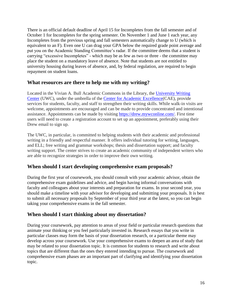There is an official default deadline of April 15 for Incompletes from the fall semester and of October 1 for Incompletes for the spring semester. On November 1 and June 1 each year, any Incompletes from the previous spring and fall semesters automatically change to U (which is equivalent to an F). Even one U can drag your GPA below the required grade point average and put you on the Academic Standing Committee's radar. If the committee deems that a student is carrying "excessive Incompletes" - which may be as few as two or three - the committee may place the student on a mandatory leave of absence. Note that students are not entitled to university housing during leaves of absence, and, by federal regulation, are required to begin repayment on student loans.

#### **What resources are there to help me with my writing?**

Located in the Vivian A. Bull Academic Commons in the Library, the [University Writing](https://www.drew.edu/center-academic-excellence/about-us/writing-support/)  [Center](https://www.drew.edu/center-academic-excellence/about-us/writing-support/) (UWC), under the umbrella of the [Center for Academic Excellence\(](https://www.drew.edu/center-academic-excellence/)CAE), provide services for students, faculty, and staff to strengthen their writing skills. While walk-in visits are welcome, appointments are encouraged and can be made to provide concentrated and intentional assistance. Appointments can be made by visiting [https://drew.mywconline.com/.](https://drew.mywconline.com/) First time users will need to create a registration account to set up an appointment, preferably using their Drew email to sign up.

The UWC, in particular, is committed to helping students with their academic and professional writing in a friendly and respectful manner. It offers individual tutoring for writing, languages, and ELL; free writing and grammar workshops; thesis and dissertation support; and faculty writing support. The center strives to create an academic community of independent writers who are able to recognize strategies in order to improve their own writing.

#### **When should I start developing comprehensive exam proposals?**

During the first year of coursework, you should consult with your academic advisor, obtain the comprehensive exam guidelines and advice, and begin having informal conversations with faculty and colleagues about your interests and preparation for exams. In your second year, you should make a timeline with your advisor for developing and submitting your proposals. It is best to submit all necessary proposals by September of your third year at the latest, so you can begin taking your comprehensive exams in the fall semester.

#### **When should I start thinking about my dissertation?**

During your coursework, pay attention to areas of your field or particular research questions that animate your thinking or you feel particularly invested in. Research essays that you write in particular classes may form the basis of your dissertation research, or a particular theme may develop across your coursework. Use your comprehensive exams to deepen an area of study that may be related to your dissertation topic. It is common for students to research and write about topics that are different than the ones they entered intending to pursue. The coursework and comprehensive exam phases are an important part of clarifying and identifying your dissertation topic.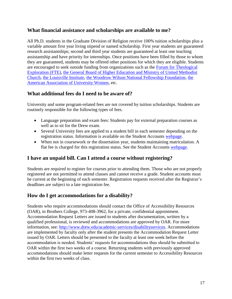#### **What financial assistance and scholarships are available to me?**

All Ph.D. students in the Graduate Division of Religion receive 100% tuition scholarships plus a variable amount first year living stipend or named scholarship. First year students are guaranteed research assistantships; second and third year students are guaranteed at least one teaching assistantship and have priority for internships. Once positions have been filled by those to whom they are guaranteed, students may be offered other positions for which they are eligible. Students are encouraged to seek outside funding from organizations such as the [Forum for Theological](https://fteleaders.org/)  [Exploration \(FTE\),](https://fteleaders.org/) the General Board [of Higher Education and Ministry of United Methodist](https://www.gbhem.org/loans-scholarships/scholarships/list-of-scholarships/)  [Church,](https://www.gbhem.org/loans-scholarships/scholarships/list-of-scholarships/) [the Louisville Institute,](https://louisville-institute.org/) [the Woodrow Wilson National Fellowship Foundation,](https://woodrow.org/) [the](https://www.aauw.org/)  [American Association of University Women,](https://www.aauw.org/) etc.

#### **What additional fees do I need to be aware of?**

University and some program-related fees are not covered by tuition scholarships. Students are routinely responsible for the following types of fees.

- Language preparation and exam fees: Students pay for external preparation courses as well as to sit for the Drew exam.
- Several University fees are applied to a student bill in each semester depending on the registration status. Information is available on the Student Accounts [webpage.](http://www.drew.edu/finance-administration/about-us/student-accounts/student-accountsinfo-for-students-parents/tuition-and-fees-schedules/)
- When not in coursework or the dissertation year, students maintaining matriculation. A flat fee is charged for this registration status. See the Student Accounts [webpage.](http://www.drew.edu/finance-administration/about-us/student-accounts/student-accountsinfo-for-students-parents/tuition-and-fees-schedules/)

#### **I have an unpaid bill. Can I attend a course without registering?**

Students are required to register for courses prior to attending them. Those who are not properly registered are not permitted to attend classes and cannot receive a grade. Student accounts must be current at the beginning of each semester. Registration requests received after the Registrar's deadlines are subject to a late registration fee.

#### **How do I get accommodations for a disability?**

Students who require accommodations should contact the Office of Accessibility Resources (OAR), in Brothers College, 973-408-3962, for a private, confidential appointment. Accommodation Request Letters are issued to students after documentation, written by a qualified professional, is reviewed and accommodations are approved by OAR. For more information, see: [http://www.drew.edu/academic-services/disabilityservices.](http://www.drew.edu/academic-services/disabilityservices) Accommodations are implemented by faculty only after the student presents the Accommodation Request Letter issued by OAR. Letters should be presented to the faculty at least one week before the accommodation is needed. Students' requests for accommodations thus should be submitted to OAR within the first two weeks of a course. Returning students with previously approved accommodations should make letter requests for the current semester to Accessibility Resources within the first two weeks of class.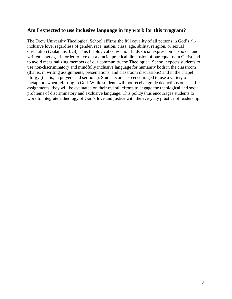#### **Am I expected to use inclusive language in my work for this program?**

The Drew University Theological School affirms the full equality of all persons in God's allinclusive love, regardless of gender, race, nation, class, age, ability, religion, or sexual orientation (Galatians 3:28). This theological conviction finds social expression in spoken and written language. In order to live out a crucial practical dimension of our equality in Christ and to avoid marginalizing members of our community, the Theological School expects students to use non-discriminatory and mindfully inclusive language for humanity both in the classroom (that is, in writing assignments, presentations, and classroom discussions) and in the chapel liturgy (that is, in prayers and sermons). Students are also encouraged to use a variety of metaphors when referring to God. While students will not receive grade deductions on specific assignments, they will be evaluated on their overall efforts to engage the theological and social problems of discriminatory and exclusive language. This policy thus encourages students to work to integrate a theology of God's love and justice with the everyday practice of leadership.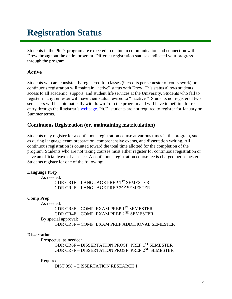## **Registration Status**

Students in the Ph.D. program are expected to maintain communication and connection with Drew throughout the entire program. Different registration statuses indicated your progress through the program.

#### **Active**

Students who are consistently registered for classes (9 credits per semester of coursework) or continuous registration will maintain "active" status with Drew. This status allows students access to all academic, support, and student life services at the University. Students who fail to register in any semester will have their status revised to "inactive." Students not registered two semesters will be automatically withdrawn from the program and will have to petition for reentry through the Registrar's [webpage.](http://www.drew.edu/registrars-office/about-us/students/) Ph.D. students are not required to register for January or Summer terms.

#### **Continuous Registration (or, maintaining matriculation)**

Students may register for a continuous registration course at various times in the program, such as during language exam preparation, comprehensive exams, and dissertation writing. All continuous registration is counted toward the total time allotted for the completion of the program. Students who are not taking courses must either register for continuous registration or have an official leave of absence. A continuous registration course fee is charged per semester. Students register for one of the following:

#### **Language Prep**

As needed: GDR CR1F – LANGUAGE PREP 1ST SEMESTER GDR CR2F – LANGUAGE PREP 2ND SEMESTER

#### **Comp Prep**

As needed: GDR CR3F – COMP. EXAM PREP 1ST SEMESTER GDR CR4F – COMP. EXAM PREP 2ND SEMESTER By special approval: GDR CR5F – COMP. EXAM PREP ADDITIONAL SEMESTER

#### **Dissertation**

Prospectus, as needed:

GDR CR6F – DISSERTATION PROSP. PREP 1<sup>ST</sup> SEMESTER GDR CR7F – DISSERTATION PROSP. PREP 2ND SEMESTER

#### Required:

DIST 998 – DISSERTATION RESEARCH I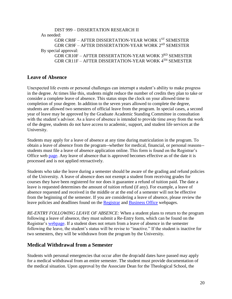```
DIST 999 – DISSERTATION RESEARCH II
As needed: 
     GDR CR8F – AFTER DISSERTATION-YEAR WORK 1ST SEMESTER
     GDR CR9F – AFTER DISSERTATION-YEAR WORK 2nD SEMESTER
By special approval:
     GDR CR10F – AFTER DISSERTATION-YEAR WORK 3RD SEMESTER
     GDR CR11F – AFTER DISSERTATION-YEAR WORK 4TH SEMESTER
```
#### **Leave of Absence**

Unexpected life events or personal challenges can interrupt a student's ability to make progress in the degree. At times like this, students might reduce the number of credits they plan to take or consider a complete leave of absence. This status stops the clock on your allowed time to completion of your degree. In addition to the seven years allowed to complete the degree, students are allowed two semesters of official leave from the program. In special cases, a second year of leave may be approved by the Graduate Academic Standing Committee in consultation with the student's advisor. As a leave of absence is intended to provide time away from the work of the degree, students do not have access to academic, support, and student life services at the University.

Students may apply for a leave of absence at any time during matriculation in the program. To obtain a leave of absence from the program--whether for medical, financial, or personal reasons- students must file a leave of absence application online. This form is found on the Registrar's Office web [page.](http://www.drew.edu/registrars-office/about-us/students/) Any leave of absence that is approved becomes effective as of the date it is processed and is not applied retroactively.

Students who take the leave during a semester should be aware of the grading and refund policies of the University. A leave of absence does not exempt a student from receiving grades for courses they have been registered for nor does it guarantee a refund of tuition paid. The date a leave is requested determines the amount of tuition refund (if any). For example, a leave of absence requested and received in the middle or at the end of a semester will not be effective from the beginning of the semester. If you are considering a leave of absence, please review the leave policies and deadlines found on the [Registrar](http://www.drew.edu/registrars-office/) and [Business Office](http://www.drew.edu/finance-administration/about-us/student-accounts/) webpages.

*RE-ENTRY FOLLOWING LEAVE OF ABSENCE:* When a student plans to return to the program following a leave of absence, they must submit a Re-Entry form, which can be found on the Registrar's [webpage.](http://www.drew.edu/registrars-office/) If a student does not return from a leave of absence in the semester following the leave, the student's status will be revise to "inactive." If the student is inactive for two semesters, they will be withdrawn from the program by the University.

#### **Medical Withdrawal from a Semester**

Students with personal emergencies that occur after the drop/add dates have passed may apply for a medical withdrawal from an entire semester. The student must provide documentation of the medical situation. Upon approval by the Associate Dean for the Theological School, the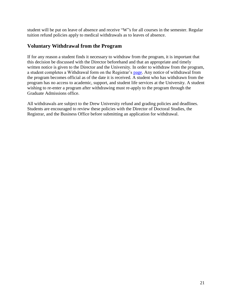student will be put on leave of absence and receive "W"s for all courses in the semester. Regular tuition refund policies apply to medical withdrawals as to leaves of absence.

#### **Voluntary Withdrawal from the Program**

If for any reason a student finds it necessary to withdraw from the program, it is important that this decision be discussed with the Director beforehand and that an appropriate and timely written notice is given to the Director and the University. In order to withdraw from the program, a student completes a Withdrawal form on the Registrar's [page.](http://www.drew.edu/registrars-office/about-us/students/) Any notice of withdrawal from the program becomes official as of the date it is received. A student who has withdrawn from the program has no access to academic, support, and student life services at the University. A student wishing to re-enter a program after withdrawing must re-apply to the program through the Graduate Admissions office.

All withdrawals are subject to the Drew University refund and grading policies and deadlines. Students are encouraged to review these policies with the Director of Doctoral Studies, the Registrar, and the Business Office before submitting an application for withdrawal.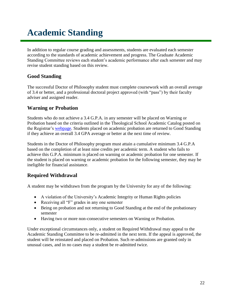## **Academic Standing**

In addition to regular course grading and assessments, students are evaluated each semester according to the standards of academic achievement and progress. The Graduate Academic Standing Committee reviews each student's academic performance after each semester and may revise student standing based on this review.

#### **Good Standing**

The successful Doctor of Philosophy student must complete coursework with an overall average of 3.4 or better, and a professional doctoral project approved (with "pass") by their faculty adviser and assigned reader.

#### **Warning or Probation**

Students who do not achieve a 3.4 G.P.A. in any semester will be placed on Warning or Probation based on the criteria outlined in the Theological School Academic Catalog posted on the Registrar's [webpage.](http://www.drew.edu/registrars-office/) Students placed on academic probation are returned to Good Standing if they achieve an overall 3.4 GPA average or better at the next time of review.

Students in the Doctor of Philosophy program must attain a cumulative minimum 3.4 G.P.A based on the completion of at least nine credits per academic term. A student who fails to achieve this G.P.A. minimum is placed on warning or academic probation for one semester. If the student is placed on warning or academic probation for the following semester, they may be ineligible for financial assistance.

#### **Required Withdrawal**

A student may be withdrawn from the program by the University for any of the following:

- A violation of the University's Academic Integrity or Human Rights policies
- Receiving all "F" grades in any one semester
- Being on probation and not returning to Good Standing at the end of the probationary semester
- Having two or more non-consecutive semesters on Warning or Probation.

Under exceptional circumstances only, a student on Required Withdrawal may appeal to the Academic Standing Committee to be re-admitted in the next term. If the appeal is approved, the student will be reinstated and placed on Probation. Such re-admissions are granted only in unusual cases, and in no cases may a student be re-admitted twice.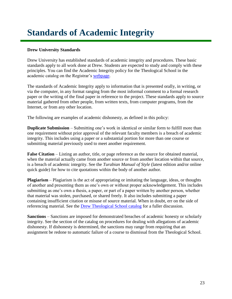## **Standards of Academic Integrity**

#### **Drew University Standards**

Drew University has established standards of academic integrity and procedures. These basic standards apply to all work done at Drew. Students are expected to study and comply with these principles. You can find the Academic Integrity policy for the Theological School in the academic catalog on the Registrar's [webpage.](http://catalog.drew.edu/content.php?catoid=27&navoid=1269#integrity)

The standards of Academic Integrity apply to information that is presented orally, in writing, or via the computer, in any format ranging from the most informal comment to a formal research paper or the writing of the final paper in reference to the project. These standards apply to source material gathered from other people, from written texts, from computer programs, from the Internet, or from any other location.

The following are examples of academic dishonesty, as defined in this policy:

**Duplicate Submission** – Submitting one's work in identical or similar form to fulfill more than one requirement without prior approval of the relevant faculty members is a breach of academic integrity. This includes using a paper or a substantial portion for more than one course or submitting material previously used to meet another requirement.

**False Citation** – Listing an author, title, or page reference as the source for obtained material, when the material actually came from another source or from another location within that source, is a breach of academic integrity. See the *Turabian Manual of Style* (latest edition and/or online quick guide) for how to cite quotations within the body of another author.

**Plagiarism** – Plagiarism is the act of appropriating or imitating the language, ideas, or thoughts of another and presenting them as one's own or without proper acknowledgement. This includes submitting as one's own a thesis, a paper, or part of a paper written by another person, whether that material was stolen, purchased, or shared freely. It also includes submitting a paper containing insufficient citation or misuse of source material. When in doubt, err on the side of referencing material. See the [Drew Theological School catalog](http://catalog.drew.edu/index.php) for a fuller discussion.

**Sanctions** – Sanctions are imposed for demonstrated breaches of academic honesty or scholarly integrity. See the section of the catalog on procedures for dealing with allegations of academic dishonesty. If dishonesty is determined, the sanctions may range from requiring that an assignment be redone to automatic failure of a course to dismissal from the Theological School.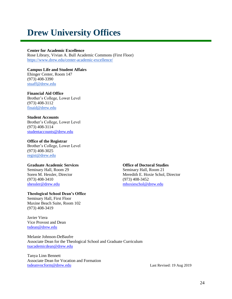### **Drew University Offices**

#### **Center for Academic Excellence**

Rose Library, Vivian A. Bull Academic Commons (First Floor) <https://www.drew.edu/center-academic-excellence/>

**Campus Life and Student Affairs** Ehinger Center, Room 147 (973) 408-3390 [stuaff@drew.edu](mailto:stuaff@drew.edu)

**Financial Aid Office**

Brother's College, Lower Level (973) 408-3112 [finaid@drew.edu](mailto:finaid@drew.edu)

#### **Student Accounts**

Brother's College, Lower Level (973) 408-3114 [studentaccounts@drew.edu](mailto:studentaccounts@drew.edu)

#### **Office of the Registrar**

Brother's College, Lower Level (973) 408-3025 [regist@drew.edu](mailto:regist@drew.edu)

#### **Graduate Academic Services Office of Doctoral Studies**

Seminary Hall, Room 29 Seminary Hall, Room 21 (973) 408-3410 (973) 408-3452 [shessler@drew.edu](mailto:shessler@drew.edu) [mhoxieschol@drew.edu](mailto:mhoxieschol@drew.edu)

#### **Theological School Dean's Office**

Seminary Hall, First Floor Maxine Beach Suite, Room 102 (973) 408-3419

Javier Viera Vice Provost and Dean [tsdean@drew.edu](mailto:tsdean@drew.edu)

Melanie Johnson-DeBaufre Associate Dean for the Theological School and Graduate Curriculum [tsacademicdean@drew.edu](mailto:tsacademicdean@drew.edu)

Tanya Linn Bennett Associate Dean for Vocation and Formation [tsdeanvocform@drew.edu](mailto:tsdeanvocform@drew.edu) Last Revised: 19 Aug 2019

Soren M. Hessler, Director Meredith E. Hoxie Schol, Director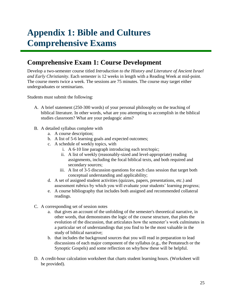## **Appendix 1: Bible and Cultures Comprehensive Exams**

### **Comprehensive Exam 1: Course Development**

Develop a two-semester course titled *Introduction to the History and Literature of Ancient Israel and Early Christianity*. Each semester is 12 weeks in length with a Reading Week at mid-point. The course meets twice a week. The sessions are 75 minutes. The course may target either undergraduates or seminarians.

Students must submit the following:

- A. A brief statement (250-300 words) of your personal philosophy on the teaching of biblical literature. In other words, what are you attempting to accomplish in the biblical studies classroom? What are your pedagogic aims?
- B. A detailed syllabus complete with
	- a. A course description;
	- b. A list of 5-6 learning goals and expected outcomes;
	- c. A schedule of weekly topics, with
		- i. A 6-10 line paragraph introducing each text/topic;
		- ii. A list of weekly (reasonably-sized and level-appropriate) reading assignments, including the focal biblical texts, and both required and secondary sources;
		- iii. A list of 3-5 discussion questions for each class session that target both conceptual understanding and applicability;
	- d. A set of assigned student activities (quizzes, papers, presentations, etc.) and assessment rubrics by which you will evaluate your students' learning progress;
	- e. A course bibliography that includes both assigned and recommended collateral readings.
- C. A corresponding set of session notes
	- a. that gives an account of the unfolding of the semester's theoretical narrative, in other words, that demonstrates the logic of the course structure, that plots the evolution of the discussion, that articulates how the semester's work culminates in a particular set of understandings that you find to be the most valuable in the study of biblical narrative;
	- b. that includes the background sources that you will read in preparation to lead discussions of each major component of the syllabus (e.g., the Pentateuch or the Synoptic Gospels) and some reflection on why/how these will be helpful.
- D. A credit-hour calculation worksheet that charts student learning hours. (Worksheet will be provided).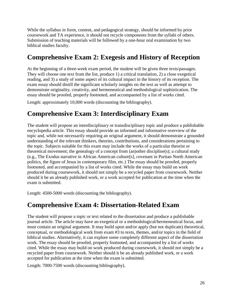While the syllabus in form, content, and pedagogical strategy, should be informed by prior coursework and TA experience, it should not recycle components from the syllabi of others. Submission of teaching materials will be followed by a one-hour oral examination by two biblical studies faculty.

### **Comprehensive Exam 2: Exegesis and History of Reception**

At the beginning of a three-week exam period, the student will be given three texts/passages. They will choose one text from the list, produce 1) a critical translation, 2) a close exegetical reading, and 3) a study of some aspect of its cultural impact in the history of its reception. The exam essay should distill the significant scholarly insights on the text as well as attempt to demonstrate originality, creativity, and hermeneutical and methodological sophistication. The essay should be proofed, properly footnoted, and accompanied by a list of works cited.

Length: approximately 10,000 words (discounting the bibliography).

### **Comprehensive Exam 3: Interdisciplinary Exam**

The student will propose an interdisciplinary or transdisciplinary topic and produce a publishable encyclopedia article. This essay should provide an informed and informative overview of the topic and, while not necessarily requiring an original argument, it should demonstrate a grounded understanding of the relevant thinkers, theories, contributions, and considerations pertaining to the topic. Subjects suitable for this exam may include the works of a particular theorist or theoretical movement; the genealogy of a concept from (an)other discipline(s); a cultural study (e.g., The Exodus narrative in African American culture[s], covenant in Puritan North American politics, the figure of Jesus in contemporary film, etc.) The essay should be proofed, properly footnoted, and accompanied by a list of works cited. While the essay may build on work produced during coursework, it should not simply be a recycled paper from coursework. Neither should it be an already published work, or a work accepted for publication at the time when the exam is submitted.

Length: 4500-5000 words (discounting the bibliography).

### **Comprehensive Exam 4: Dissertation-Related Exam**

The student will propose a topic or text related to the dissertation and produce a publishable journal article. The article may have an exegetical or a methodological/hermeneutical focus, and must contain an original argument. It may build upon and/or apply (but not duplicate) theoretical, conceptual, or methodological work from exam #3 to texts, themes, and/or topics in the field of biblical studies. Alternatively, it can explore some completely different aspect of the dissertation work. The essay should be proofed, properly footnoted, and accompanied by a list of works cited. While the essay may build on work produced during coursework, it should not simply be a recycled paper from coursework. Neither should it be an already published work, or a work accepted for publication at the time when the exam is submitted.

Length: 7000-7500 words (discounting bibliography).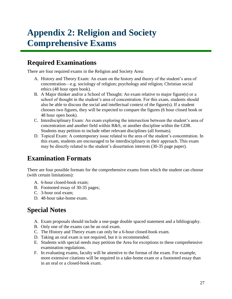## **Appendix 2: Religion and Society Comprehensive Exams**

### **Required Examinations**

There are four required exams in the Religion and Society Area:

- A. History and Theory Exam: An exam on the history and theory of the student's area of concentration—e.g. sociology of religion; psychology and religion; Christian social ethics (48 hour open book).
- B. A Major thinker and/or a School of Thought: An exam relative to major figure(s) or a school of thought in the student's area of concentration. For this exam, students should also be able to discuss the social and intellectual context of the figure(s). If a student chooses two figures, they will be expected to compare the figures (6 hour closed book or 48 hour open book).
- C. Interdisciplinary Exam: An exam exploring the intersection between the student's area of concentration and another field within R&S, or another discipline within the GDR. Students may petition to include other relevant disciplines (all formats).
- D. Topical Exam: A contemporary issue related to the area of the student's concentration. In this exam, students are encouraged to be interdisciplinary in their approach. This exam may be directly related to the student's dissertation interests (30-35 page paper).

### **Examination Formats**

There are four possible formats for the comprehensive exams from which the student can choose (with certain limitations):

- A. 6-hour closed-book exam;
- B. Footnoted essay of 30-35 pages;
- C. 3-hour oral exam;
- D. 48-hour take-home exam.

### **Special Notes**

- A. Exam proposals should include a one-page double spaced statement and a bibliography.
- B. Only one of the exams can be an oral exam.
- C. The History and Theory exam can only be a 6-hour closed-book exam.
- D. Taking an oral exam is not required, but it is recommended.
- E. Students with special needs may petition the Area for exceptions to these comprehensive examination regulations.
- F. In evaluating exams, faculty will be attentive to the format of the exam. For example, more extensive citations will be required in a take-home exam or a footnoted essay than in an oral or a closed-book exam.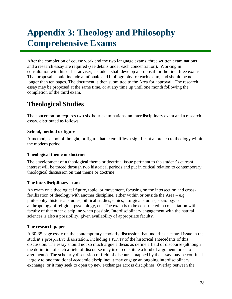## **Appendix 3: Theology and Philosophy Comprehensive Exams**

After the completion of course work and the two language exams, three written examinations and a research essay are required (see details under each concentration). Working in consultation with his or her adviser, a student shall develop a proposal for the first three exams. That proposal should include a rationale and bibliography for each exam, and should be no longer than ten pages. The document is then submitted to the Area for approval. The research essay may be proposed at the same time, or at any time up until one month following the completion of the third exam.

### **Theological Studies**

The concentration requires two six-hour examinations, an interdisciplinary exam and a research essay, distributed as follows:

#### **School, method or figure**

A method, school of thought, or figure that exemplifies a significant approach to theology within the modern period.

#### **Theological theme or doctrine**

The development of a theological theme or doctrinal issue pertinent to the student's current interest will be traced through two historical periods and put in critical relation to contemporary theological discussion on that theme or doctrine.

#### **The interdisciplinary exam**

An exam on a theological figure, topic, or movement, focusing on the intersection and crossfertilization of theology with another discipline, either within or outside the Area – e.g., philosophy, historical studies, biblical studies, ethics, liturgical studies, sociology or anthropology of religion, psychology, etc. The exam is to be constructed in consultation with faculty of that other discipline when possible. Interdisciplinary engagement with the natural sciences is also a possibility, given availability of appropriate faculty.

#### **The research paper**

A 30-35 page essay on the contemporary scholarly discussion that underlies a central issue in the student's prospective dissertation, including a survey of the historical antecedents of this discussion. The essay should not so much argue a thesis as define a field of discourse (although the definition of such a field of discourse may itself constitute a kind of argument, or set of arguments). The scholarly discussion or field of discourse mapped by the essay may be confined largely to one traditional academic discipline; it may engage an ongoing interdisciplinary exchange; or it may seek to open up new exchanges across disciplines. Overlap between the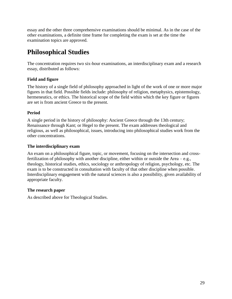essay and the other three comprehensive examinations should be minimal. As in the case of the other examinations, a definite time frame for completing the exam is set at the time the examination topics are approved.

### **Philosophical Studies**

The concentration requires two six-hour examinations, an interdisciplinary exam and a research essay, distributed as follows:

#### **Field and figure**

The history of a single field of philosophy approached in light of the work of one or more major figures in that field. Possible fields include: philosophy of religion, metaphysics, epistemology, hermeneutics, or ethics. The historical scope of the field within which the key figure or figures are set is from ancient Greece to the present.

#### **Period**

A single period in the history of philosophy: Ancient Greece through the 13th century; Renaissance through Kant; or Hegel to the present. The exam addresses theological and religious, as well as philosophical, issues, introducing into philosophical studies work from the other concentrations.

#### **The interdisciplinary exam**

An exam on a philosophical figure, topic, or movement, focusing on the intersection and crossfertilization of philosophy with another discipline, either within or outside the Area – e.g., theology, historical studies, ethics, sociology or anthropology of religion, psychology, etc. The exam is to be constructed in consultation with faculty of that other discipline when possible. Interdisciplinary engagement with the natural sciences is also a possibility, given availability of appropriate faculty.

#### **The research paper**

As described above for Theological Studies.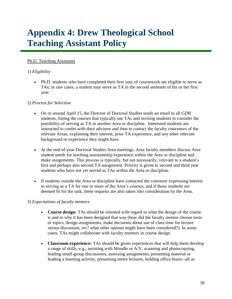## **Appendix 4: Drew Theological School Teaching Assistant Policy**

#### Ph.D. Teaching Assistants

#### 1) *Eligibility*

 Ph.D. students who have completed their first year of coursework are eligible to serve as TAs; in rare cases, a student may serve as TA in the second semester of his or her first year.

#### 2) *Process for Selection*

- On or around April 15, the Director of Doctoral Studies sends an email to all GDR students, listing the courses that typically use TAs and inviting students to consider the possibility of serving as TA in another Area or discipline. Interested students are instructed to confer with their advisers and then to contact the faculty convenors of the relevant Areas, explaining their interest, prior TA experience, and any other relevant background or experience they might have.
- At the end-of-year Doctoral Studies Area meetings, Area faculty members discuss Area student needs for teaching assistantship experience within the Area or discipline and make assignments. This process is typically, but not necessarily, relevant to a student's first and perhaps also second TA assignment. Priority is given to second and third year students who have not yet served as TAs within the Area or discipline.
- If students outside the Area or discipline have contacted the convenor expressing interest in serving as a TA for one or more of the Area's courses, and if those students are deemed fit for the task, these requests are also taken into consideration by the Area.

#### 3) *Expectations of faculty mentors*

- **Course design:** TAs should be oriented with regard to what the design of the course is and to why it has been designed that way (how did the faculty mentor choose texts or topics, design assignments, make decisions about use of class time for lecture versus discussion, etc? what other options might have been considered?). In some cases, TAs might collaborate with faculty mentors in course design.
- **Classroom experience:** TAs should be given experiences that will help them develop a range of skills, e.g., assisting with Moodle or A/V, scanning and photocopying, leading small-group discussions, assessing assignments, presenting material or leading a learning activity, presenting entire lectures, holding office hours--all as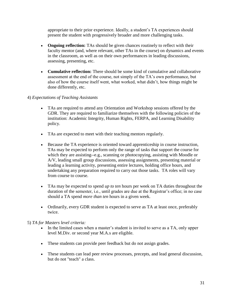appropriate to their prior experience. Ideally, a student's TA experiences should present the student with progressively broader and more challenging tasks.

- **Ongoing reflection:** TAs should be given chances routinely to reflect with their faculty mentor (and, where relevant, other TAs in the course) on dynamics and events in the classroom, as well as on their own performances in leading discussions, assessing, presenting, etc.
- **Cumulative reflection:** There should be some kind of cumulative and collaborative assessment at the end of the course, not simply of the TA's own performance, but also of how the course itself went, what worked, what didn't, how things might be done differently, etc.

#### 4) *Expectations of Teaching Assistants*

- TAs are required to attend any Orientation and Workshop sessions offered by the GDR. They are required to familiarize themselves with the following policies of the institution: Academic Integrity, Human Rights, FERPA, and Learning Disability policy.
- TAs are expected to meet with their teaching mentors regularly.
- Because the TA experience is oriented toward apprenticeship in course instruction, TAs may be expected to perform only the range of tasks that support the course for which they are assisting--e.g., scanning or photocopying, assisting with Moodle or A/V, leading small group discussions, assessing assignments, presenting material or leading a learning activity, presenting entire lectures, holding office hours, and undertaking any preparation required to carry out those tasks. TA roles will vary from course to course.
- TAs may be expected to spend *up to ten* hours per week on TA duties throughout the duration of the semester, i.e., until grades are due at the Registrar's office; in no case should a TA spend *more than ten* hours in a given week.
- Ordinarily, every GDR student is expected to serve as TA at least once, preferably twice.

#### 5) *TA for Masters level criteria:*

- In the limited cases when a master's student is invited to serve as a TA, only upper level M.Div. or second year M.A.s are eligible.
- These students can provide peer feedback but do not assign grades.
- These students can lead peer review processes, precepts, and lead general discussion, but do not "teach" a class.